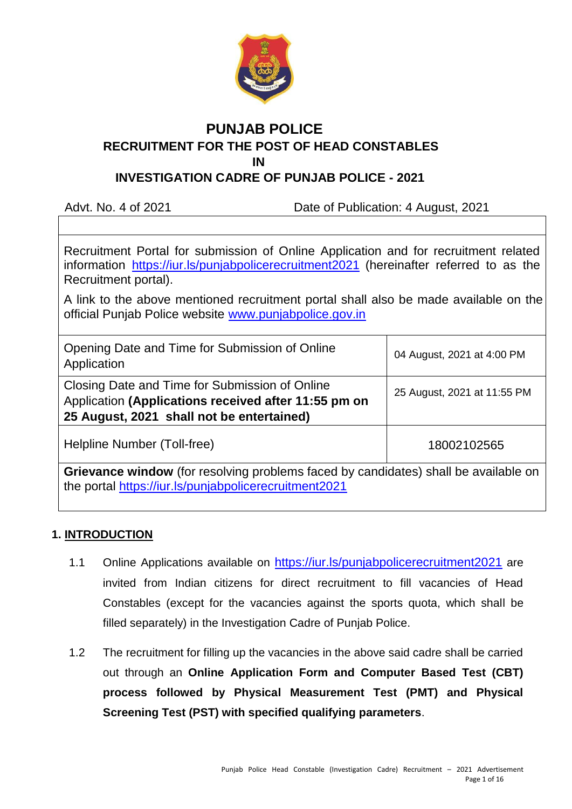

# **PUNJAB POLICE RECRUITMENT FOR THE POST OF HEAD CONSTABLES IN IN**

# **INVESTIGATION CADRE OF PUNJAB POLICE - 2021**

Advt. No. 4 of 2021 Date of Publication: 4 August, 2021

Recruitment Portal for submission of Online Application and for recruitment related information <https://iur.ls/punjabpolicerecruitment2021> (hereinafter referred to as the Recruitment portal).

A link to the above mentioned recruitment portal shall also be made available on the official Punjab Police website [www.punjabpolice.gov.in](http://www.punjabpolice.gov.in/)

| Opening Date and Time for Submission of Online<br>Application                                                                                       | 04 August, 2021 at 4:00 PM  |
|-----------------------------------------------------------------------------------------------------------------------------------------------------|-----------------------------|
| Closing Date and Time for Submission of Online<br>Application (Applications received after 11:55 pm on<br>25 August, 2021 shall not be entertained) | 25 August, 2021 at 11:55 PM |
| Helpline Number (Toll-free)                                                                                                                         | 18002102565                 |

**Grievance window** (for resolving problems faced by candidates) shall be available on the portal [h](https://iur.ls/punjabpolicerecruitment2021)ttps://iur.ls/punjabpolicerecruitment202[1](https://iur.ls/punjabpolicerecruitment2021)

## **1. INTRODUCTION**

- 1.1 Online Applications available on <https://iur.ls/punjabpolicerecruitment2021> are invited from Indian citizens for direct recruitment to fill vacancies of Head Constables (except for the vacancies against the sports quota, which shall be filled separately) in the Investigation Cadre of Punjab Police.
- 1.2 The recruitment for filling up the vacancies in the above said cadre shall be carried out through an **Online Application Form and Computer Based Test (CBT) process followed by Physical Measurement Test (PMT) and Physical Screening Test (PST) with specified qualifying parameters**.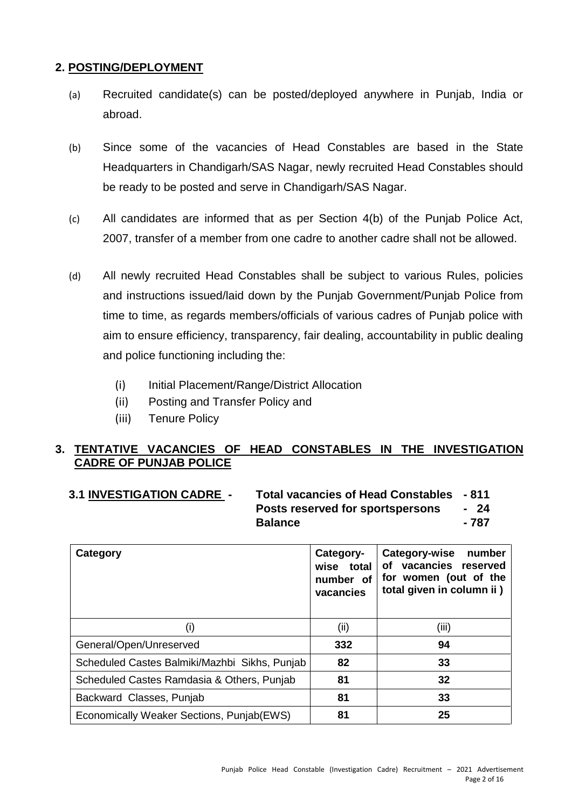## **2. POSTING/DEPLOYMENT**

- (a) Recruited candidate(s) can be posted/deployed anywhere in Punjab, India or abroad.
- (b) Since some of the vacancies of Head Constables are based in the State Headquarters in Chandigarh/SAS Nagar, newly recruited Head Constables should be ready to be posted and serve in Chandigarh/SAS Nagar.
- (c) All candidates are informed that as per Section 4(b) of the Punjab Police Act, 2007, transfer of a member from one cadre to another cadre shall not be allowed.
- (d) All newly recruited Head Constables shall be subject to various Rules, policies and instructions issued/laid down by the Punjab Government/Punjab Police from time to time, as regards members/officials of various cadres of Punjab police with aim to ensure efficiency, transparency, fair dealing, accountability in public dealing and police functioning including the:
	- (i) Initial Placement/Range/District Allocation
	- (ii) Posting and Transfer Policy and
	- (iii) Tenure Policy

## **3. TENTATIVE VACANCIES OF HEAD CONSTABLES IN THE INVESTIGATION CADRE OF PUNJAB POLICE**

| <b>3.1 INVESTIGATION CADRE -</b> | Total vacancies of Head Constables - 811 |       |
|----------------------------------|------------------------------------------|-------|
|                                  | Posts reserved for sportspersons         | - 24  |
|                                  | <b>Balance</b>                           | - 787 |

| Category                                      | Category-<br>wise total<br>number of<br>vacancies | <b>Category-wise</b><br>number<br>of vacancies reserved<br>for women (out of the<br>total given in column ii ) |
|-----------------------------------------------|---------------------------------------------------|----------------------------------------------------------------------------------------------------------------|
| (i)                                           | (ii)                                              | (iii)                                                                                                          |
| General/Open/Unreserved                       | 332                                               | 94                                                                                                             |
| Scheduled Castes Balmiki/Mazhbi Sikhs, Punjab | 82                                                | 33                                                                                                             |
| Scheduled Castes Ramdasia & Others, Punjab    | 81                                                | 32                                                                                                             |
| Backward Classes, Punjab                      | 81                                                | 33                                                                                                             |
| Economically Weaker Sections, Punjab(EWS)     | 81                                                | 25                                                                                                             |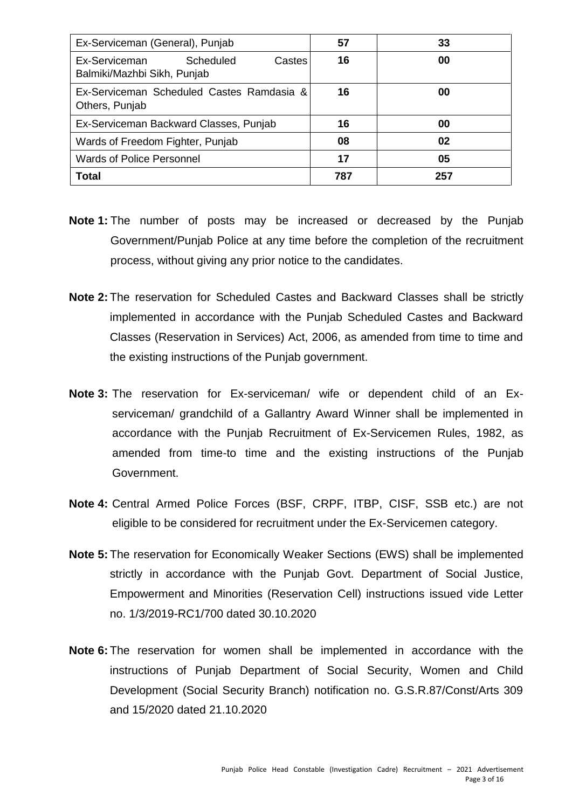| Ex-Serviceman (General), Punjab                                     | 57  | 33  |
|---------------------------------------------------------------------|-----|-----|
| Ex-Serviceman<br>Scheduled<br>Castes<br>Balmiki/Mazhbi Sikh, Punjab | 16  | 00  |
| Ex-Serviceman Scheduled Castes Ramdasia &<br>Others, Punjab         | 16  | 00  |
| Ex-Serviceman Backward Classes, Punjab                              | 16  | 00  |
| Wards of Freedom Fighter, Punjab                                    | 08  | 02  |
| <b>Wards of Police Personnel</b>                                    | 17  | 05  |
| <b>Total</b>                                                        | 787 | 257 |

- **Note 1:** The number of posts may be increased or decreased by the Punjab Government/Punjab Police at any time before the completion of the recruitment process, without giving any prior notice to the candidates.
- **Note 2:** The reservation for Scheduled Castes and Backward Classes shall be strictly implemented in accordance with the Punjab Scheduled Castes and Backward Classes (Reservation in Services) Act, 2006, as amended from time to time and the existing instructions of the Punjab government.
- **Note 3:** The reservation for Ex-serviceman/ wife or dependent child of an Exserviceman/ grandchild of a Gallantry Award Winner shall be implemented in accordance with the Punjab Recruitment of Ex-Servicemen Rules, 1982, as amended from time-to time and the existing instructions of the Punjab Government.
- **Note 4:** Central Armed Police Forces (BSF, CRPF, ITBP, CISF, SSB etc.) are not eligible to be considered for recruitment under the Ex-Servicemen category.
- **Note 5:** The reservation for Economically Weaker Sections (EWS) shall be implemented strictly in accordance with the Punjab Govt. Department of Social Justice, Empowerment and Minorities (Reservation Cell) instructions issued vide Letter no. 1/3/2019-RC1/700 dated 30.10.2020
- **Note 6:** The reservation for women shall be implemented in accordance with the instructions of Punjab Department of Social Security, Women and Child Development (Social Security Branch) notification no. G.S.R.87/Const/Arts 309 and 15/2020 dated 21.10.2020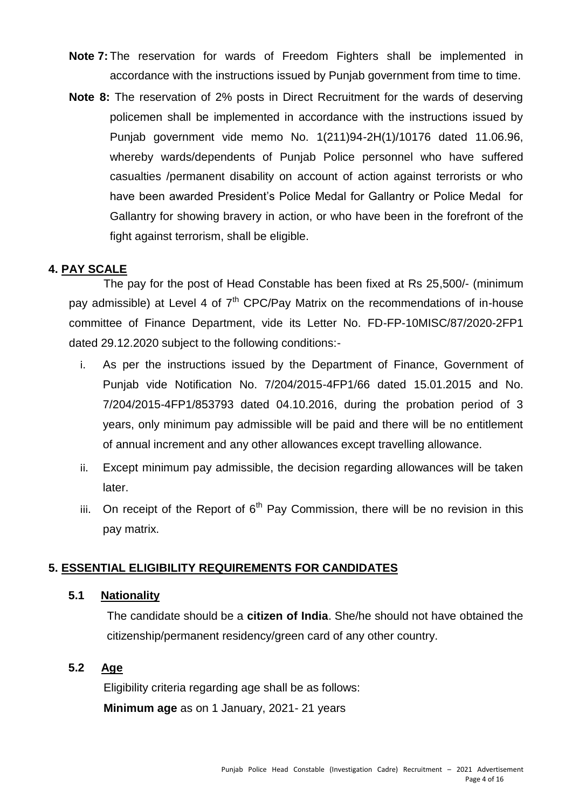- **Note 7:** The reservation for wards of Freedom Fighters shall be implemented in accordance with the instructions issued by Punjab government from time to time.
- **Note 8:** The reservation of 2% posts in Direct Recruitment for the wards of deserving policemen shall be implemented in accordance with the instructions issued by Punjab government vide memo No. 1(211)94-2H(1)/10176 dated 11.06.96, whereby wards/dependents of Punjab Police personnel who have suffered casualties /permanent disability on account of action against terrorists or who have been awarded President's Police Medal for Gallantry or Police Medal for Gallantry for showing bravery in action, or who have been in the forefront of the fight against terrorism, shall be eligible.

### **4. PAY SCALE**

The pay for the post of Head Constable has been fixed at Rs 25,500/- (minimum pay admissible) at Level 4 of  $7<sup>th</sup>$  CPC/Pay Matrix on the recommendations of in-house committee of Finance Department, vide its Letter No. FD-FP-10MISC/87/2020-2FP1 dated 29.12.2020 subject to the following conditions:-

- i. As per the instructions issued by the Department of Finance, Government of Punjab vide Notification No. 7/204/2015-4FP1/66 dated 15.01.2015 and No. 7/204/2015-4FP1/853793 dated 04.10.2016, during the probation period of 3 years, only minimum pay admissible will be paid and there will be no entitlement of annual increment and any other allowances except travelling allowance.
- ii. Except minimum pay admissible, the decision regarding allowances will be taken later.
- iii. On receipt of the Report of  $6<sup>th</sup>$  Pay Commission, there will be no revision in this pay matrix.

#### **5. ESSENTIAL ELIGIBILITY REQUIREMENTS FOR CANDIDATES**

#### **5.1 Nationality**

The candidate should be a **citizen of India**. She/he should not have obtained the citizenship/permanent residency/green card of any other country.

## **5.2 Age**

Eligibility criteria regarding age shall be as follows: **Minimum age** as on 1 January, 2021- 21 years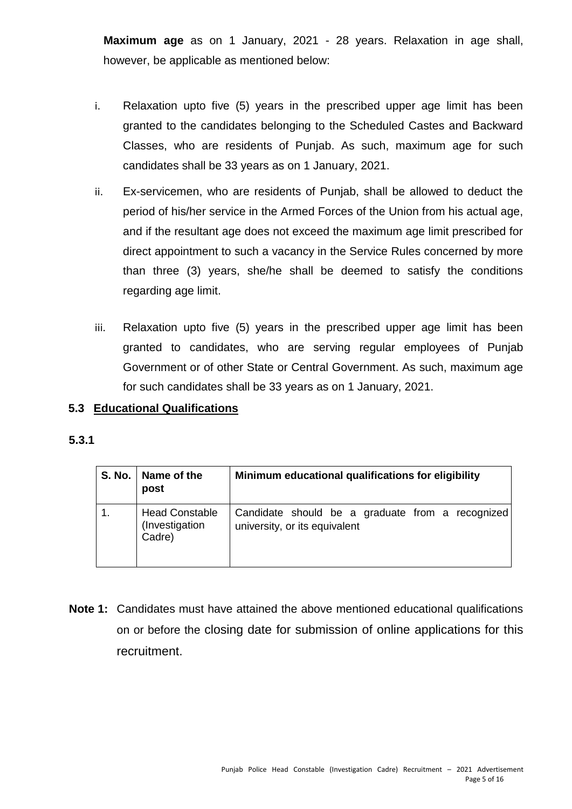**Maximum age** as on 1 January, 2021 - 28 years. Relaxation in age shall, however, be applicable as mentioned below:

- i. Relaxation upto five (5) years in the prescribed upper age limit has been granted to the candidates belonging to the Scheduled Castes and Backward Classes, who are residents of Punjab. As such, maximum age for such candidates shall be 33 years as on 1 January, 2021.
- ii. Ex-servicemen, who are residents of Punjab, shall be allowed to deduct the period of his/her service in the Armed Forces of the Union from his actual age, and if the resultant age does not exceed the maximum age limit prescribed for direct appointment to such a vacancy in the Service Rules concerned by more than three (3) years, she/he shall be deemed to satisfy the conditions regarding age limit.
- iii. Relaxation upto five (5) years in the prescribed upper age limit has been granted to candidates, who are serving regular employees of Punjab Government or of other State or Central Government. As such, maximum age for such candidates shall be 33 years as on 1 January, 2021.

### **5.3 Educational Qualifications**

### **5.3.1**

| S. No.   Name of the<br>post                      | Minimum educational qualifications for eligibility                                |
|---------------------------------------------------|-----------------------------------------------------------------------------------|
| <b>Head Constable</b><br>(Investigation<br>Cadre) | Candidate should be a graduate from a recognized<br>university, or its equivalent |

**Note 1:** Candidates must have attained the above mentioned educational qualifications on or before the closing date for submission of online applications for this recruitment.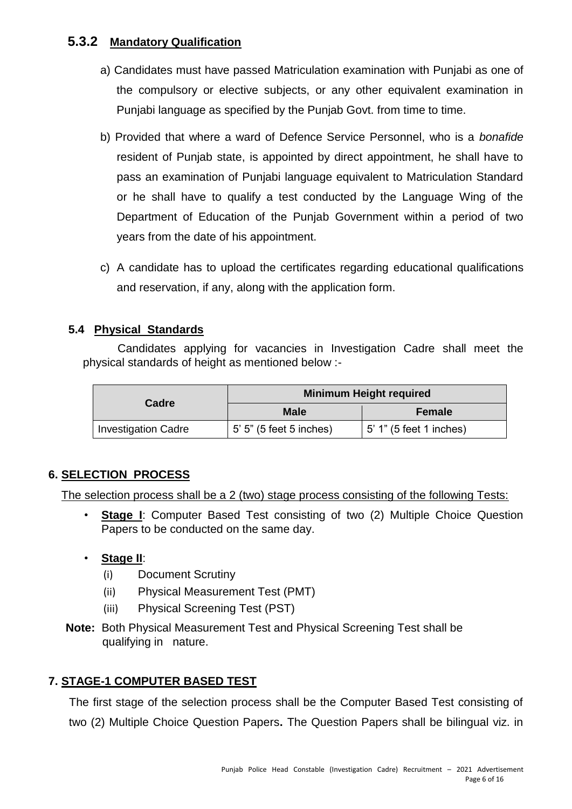## **5.3.2 Mandatory Qualification**

- a) Candidates must have passed Matriculation examination with Punjabi as one of the compulsory or elective subjects, or any other equivalent examination in Punjabi language as specified by the Punjab Govt. from time to time.
- b) Provided that where a ward of Defence Service Personnel, who is a *bonafide* resident of Punjab state, is appointed by direct appointment, he shall have to pass an examination of Punjabi language equivalent to Matriculation Standard or he shall have to qualify a test conducted by the Language Wing of the Department of Education of the Punjab Government within a period of two years from the date of his appointment.
- c) A candidate has to upload the certificates regarding educational qualifications and reservation, if any, along with the application form.

## **5.4 Physical Standards**

Candidates applying for vacancies in Investigation Cadre shall meet the physical standards of height as mentioned below :-

| <b>Cadre</b>               |                         | Minimum Height required         |
|----------------------------|-------------------------|---------------------------------|
|                            | <b>Male</b>             | Female                          |
| <b>Investigation Cadre</b> | 5' 5" (5 feet 5 inches) | $\vert$ 5' 1" (5 feet 1 inches) |

## **6. SELECTION PROCESS**

The selection process shall be a 2 (two) stage process consisting of the following Tests:

**Stage I:** Computer Based Test consisting of two (2) Multiple Choice Question Papers to be conducted on the same day.

## • **Stage II**:

- (i) Document Scrutiny
- (ii) Physical Measurement Test (PMT)
- (iii) Physical Screening Test (PST)
- **Note:** Both Physical Measurement Test and Physical Screening Test shall be qualifying in nature.

## **7. STAGE-1 COMPUTER BASED TEST**

The first stage of the selection process shall be the Computer Based Test consisting of two (2) Multiple Choice Question Papers**.** The Question Papers shall be bilingual viz. in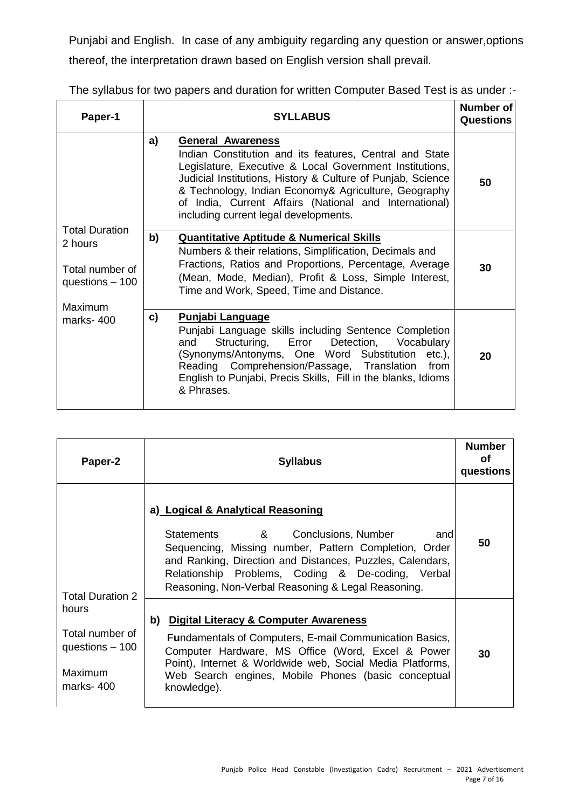Punjabi and English. In case of any ambiguity regarding any question or answer,options thereof, the interpretation drawn based on English version shall prevail.

|  |  | The syllabus for two papers and duration for written Computer Based Test is as under :- |
|--|--|-----------------------------------------------------------------------------------------|
|--|--|-----------------------------------------------------------------------------------------|

| Paper-1                                                                | <b>SYLLABUS</b>                                                                                                                                                                                                                                                                                                                                                                | Number of<br><b>Questions</b> |
|------------------------------------------------------------------------|--------------------------------------------------------------------------------------------------------------------------------------------------------------------------------------------------------------------------------------------------------------------------------------------------------------------------------------------------------------------------------|-------------------------------|
|                                                                        | a)<br><b>General Awareness</b><br>Indian Constitution and its features, Central and State<br>Legislature, Executive & Local Government Institutions,<br>Judicial Institutions, History & Culture of Punjab, Science<br>& Technology, Indian Economy& Agriculture, Geography<br>of India, Current Affairs (National and International)<br>including current legal developments. | 50                            |
| <b>Total Duration</b><br>2 hours<br>Total number of<br>questions - 100 | b)<br><b>Quantitative Aptitude &amp; Numerical Skills</b><br>Numbers & their relations, Simplification, Decimals and<br>Fractions, Ratios and Proportions, Percentage, Average<br>(Mean, Mode, Median), Profit & Loss, Simple Interest,<br>Time and Work, Speed, Time and Distance.                                                                                            | 30                            |
| Maximum<br>marks-400                                                   | <b>Punjabi Language</b><br>c)<br>Punjabi Language skills including Sentence Completion<br>Structuring, Error Detection, Vocabulary<br>and<br>(Synonyms/Antonyms, One Word Substitution etc.),<br>Reading Comprehension/Passage, Translation<br>from<br>English to Punjabi, Precis Skills, Fill in the blanks, Idioms<br>& Phrases.                                             | 20                            |

| Paper-2                                                                     | <b>Syllabus</b>                                                                                                                                                                                                                                                                                                  | <b>Number</b><br>Ωf<br>questions |
|-----------------------------------------------------------------------------|------------------------------------------------------------------------------------------------------------------------------------------------------------------------------------------------------------------------------------------------------------------------------------------------------------------|----------------------------------|
| <b>Total Duration 2</b>                                                     | a) Logical & Analytical Reasoning<br>Statements &<br>Conclusions, Number<br>and<br>Sequencing, Missing number, Pattern Completion, Order<br>and Ranking, Direction and Distances, Puzzles, Calendars,<br>Relationship Problems, Coding & De-coding, Verbal<br>Reasoning, Non-Verbal Reasoning & Legal Reasoning. | 50                               |
| hours<br>Total number of<br>questions $-100$<br><b>Maximum</b><br>marks-400 | b) Digital Literacy & Computer Awareness<br>Fundamentals of Computers, E-mail Communication Basics,<br>Computer Hardware, MS Office (Word, Excel & Power<br>Point), Internet & Worldwide web, Social Media Platforms,<br>Web Search engines, Mobile Phones (basic conceptual<br>knowledge).                      | 30                               |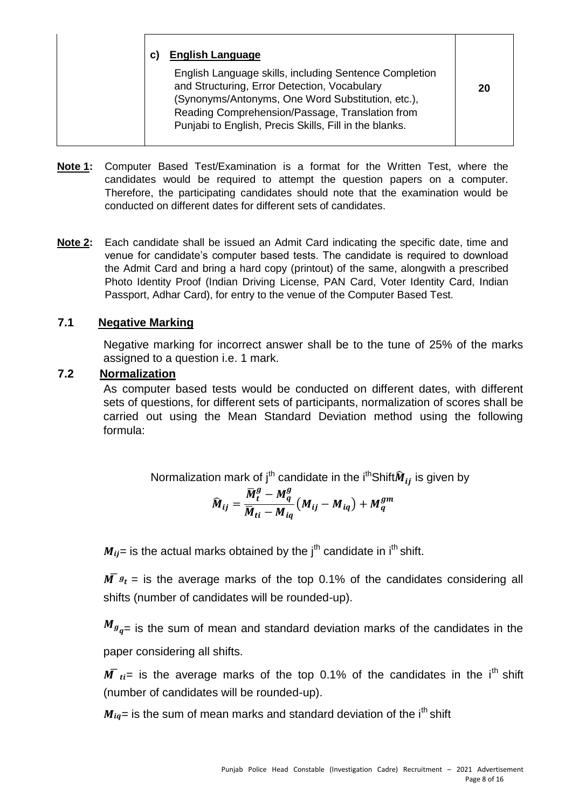| <b>English Language</b><br>C)<br>English Language skills, including Sentence Completion<br>and Structuring, Error Detection, Vocabulary                        | 20 |
|----------------------------------------------------------------------------------------------------------------------------------------------------------------|----|
| (Synonyms/Antonyms, One Word Substitution, etc.),<br>Reading Comprehension/Passage, Translation from<br>Punjabi to English, Precis Skills, Fill in the blanks. |    |

- **Note 1:** Computer Based Test/Examination is a format for the Written Test, where the candidates would be required to attempt the question papers on a computer. Therefore, the participating candidates should note that the examination would be conducted on different dates for different sets of candidates.
- **Note 2:** Each candidate shall be issued an Admit Card indicating the specific date, time and venue for candidate's computer based tests. The candidate is required to download the Admit Card and bring a hard copy (printout) of the same, alongwith a prescribed Photo Identity Proof (Indian Driving License, PAN Card, Voter Identity Card, Indian Passport, Adhar Card), for entry to the venue of the Computer Based Test.

## **7.1 Negative Marking**

Negative marking for incorrect answer shall be to the tune of 25% of the marks assigned to a question i.e. 1 mark.

## **7.2 Normalization**

As computer based tests would be conducted on different dates, with different sets of questions, for different sets of participants, normalization of scores shall be carried out using the Mean Standard Deviation method using the following formula:

Normalization mark of 
$$
j^{th}
$$
 candidate in the  $i^{th}$  Shift

\nis given by

\n
$$
= \frac{-}{-} \qquad - \qquad +
$$

= is the actual marks obtained by the  $i<sup>th</sup>$  candidate in  $i<sup>th</sup>$  shift.

 $=$  is the average marks of the top 0.1% of the candidates considering all shifts (number of candidates will be rounded-up).

 $=$  is the sum of mean and standard deviation marks of the candidates in the paper considering all shifts.

 $=$  is the average marks of the top 0.1% of the candidates in the i<sup>th</sup> shift (number of candidates will be rounded-up).

 $=$  is the sum of mean marks and standard deviation of the i<sup>th</sup> shift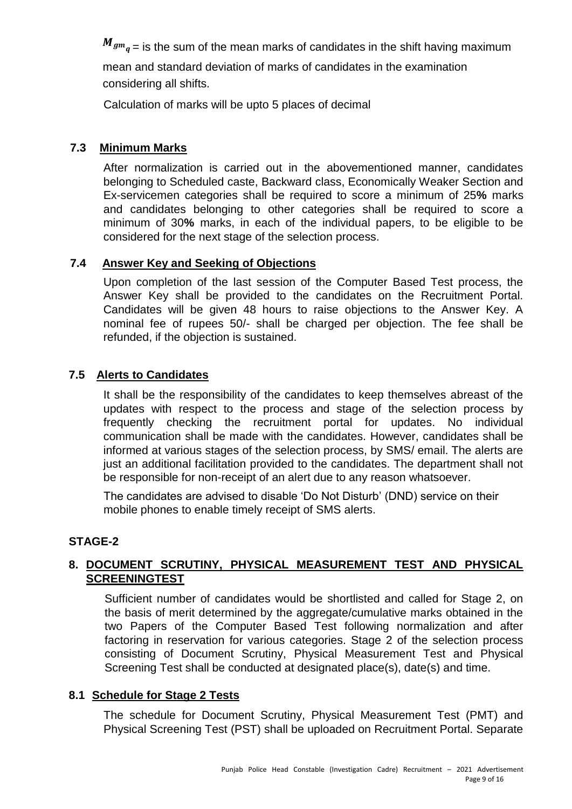$=$  is the sum of the mean marks of candidates in the shift having maximum

mean and standard deviation of marks of candidates in the examination considering all shifts.

Calculation of marks will be upto 5 places of decimal

## **7.3 Minimum Marks**

After normalization is carried out in the abovementioned manner, candidates belonging to Scheduled caste, Backward class, Economically Weaker Section and Ex-servicemen categories shall be required to score a minimum of 25**%** marks and candidates belonging to other categories shall be required to score a minimum of 30**%** marks, in each of the individual papers, to be eligible to be considered for the next stage of the selection process.

## **7.4 Answer Key and Seeking of Objections**

Upon completion of the last session of the Computer Based Test process, the Answer Key shall be provided to the candidates on the Recruitment Portal. Candidates will be given 48 hours to raise objections to the Answer Key. A nominal fee of rupees 50/- shall be charged per objection. The fee shall be refunded, if the objection is sustained.

## **7.5 Alerts to Candidates**

It shall be the responsibility of the candidates to keep themselves abreast of the updates with respect to the process and stage of the selection process by frequently checking the recruitment portal for updates. No individual communication shall be made with the candidates. However, candidates shall be informed at various stages of the selection process, by SMS/ email. The alerts are just an additional facilitation provided to the candidates. The department shall not be responsible for non-receipt of an alert due to any reason whatsoever.

The candidates are advised to disable 'Do Not Disturb' (DND) service on their mobile phones to enable timely receipt of SMS alerts.

### **STAGE-2**

## **8. DOCUMENT SCRUTINY, PHYSICAL MEASUREMENT TEST AND PHYSICAL SCREENINGTEST**

Sufficient number of candidates would be shortlisted and called for Stage 2, on the basis of merit determined by the aggregate/cumulative marks obtained in the two Papers of the Computer Based Test following normalization and after factoring in reservation for various categories. Stage 2 of the selection process consisting of Document Scrutiny, Physical Measurement Test and Physical Screening Test shall be conducted at designated place(s), date(s) and time.

### **8.1 Schedule for Stage 2 Tests**

The schedule for Document Scrutiny, Physical Measurement Test (PMT) and Physical Screening Test (PST) shall be uploaded on Recruitment Portal. Separate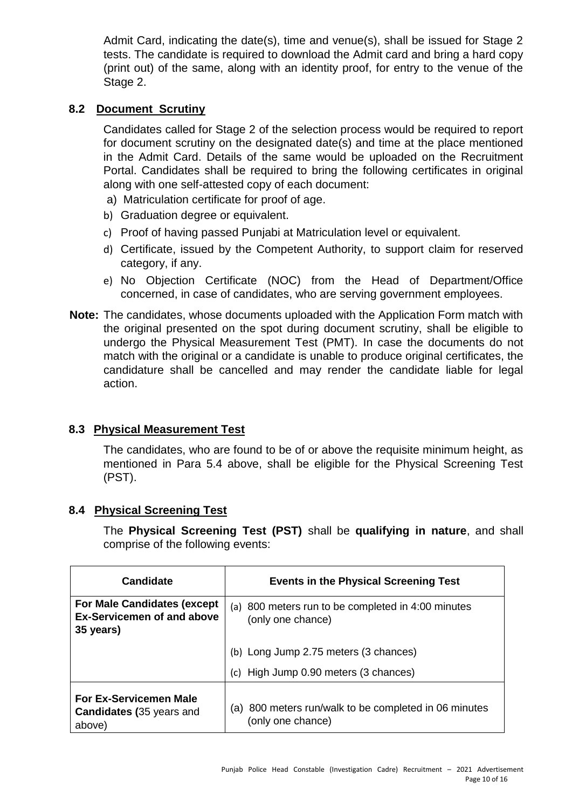Admit Card, indicating the date(s), time and venue(s), shall be issued for Stage 2 tests. The candidate is required to download the Admit card and bring a hard copy (print out) of the same, along with an identity proof, for entry to the venue of the Stage 2.

## **8.2 Document Scrutiny**

Candidates called for Stage 2 of the selection process would be required to report for document scrutiny on the designated date(s) and time at the place mentioned in the Admit Card. Details of the same would be uploaded on the Recruitment Portal. Candidates shall be required to bring the following certificates in original along with one self-attested copy of each document:

- a) Matriculation certificate for proof of age.
- b) Graduation degree or equivalent.
- c) Proof of having passed Punjabi at Matriculation level or equivalent.
- d) Certificate, issued by the Competent Authority, to support claim for reserved category, if any.
- e) No Objection Certificate (NOC) from the Head of Department/Office concerned, in case of candidates, who are serving government employees.
- **Note:** The candidates, whose documents uploaded with the Application Form match with the original presented on the spot during document scrutiny, shall be eligible to undergo the Physical Measurement Test (PMT). In case the documents do not match with the original or a candidate is unable to produce original certificates, the candidature shall be cancelled and may render the candidate liable for legal action.

## **8.3 Physical Measurement Test**

The candidates, who are found to be of or above the requisite minimum height, as mentioned in Para 5.4 above, shall be eligible for the Physical Screening Test (PST).

### **8.4 Physical Screening Test**

The **Physical Screening Test (PST)** shall be **qualifying in nature**, and shall comprise of the following events:

| <b>Candidate</b>                                                                     | <b>Events in the Physical Screening Test</b>                               |  |
|--------------------------------------------------------------------------------------|----------------------------------------------------------------------------|--|
| <b>For Male Candidates (except</b><br><b>Ex-Servicemen of and above</b><br>35 years) | (a) 800 meters run to be completed in 4:00 minutes<br>(only one chance)    |  |
|                                                                                      | (b) Long Jump 2.75 meters (3 chances)                                      |  |
|                                                                                      | (c) High Jump 0.90 meters (3 chances)                                      |  |
| <b>For Ex-Servicemen Male</b><br><b>Candidates (35 years and</b><br>above)           | (a) 800 meters run/walk to be completed in 06 minutes<br>(only one chance) |  |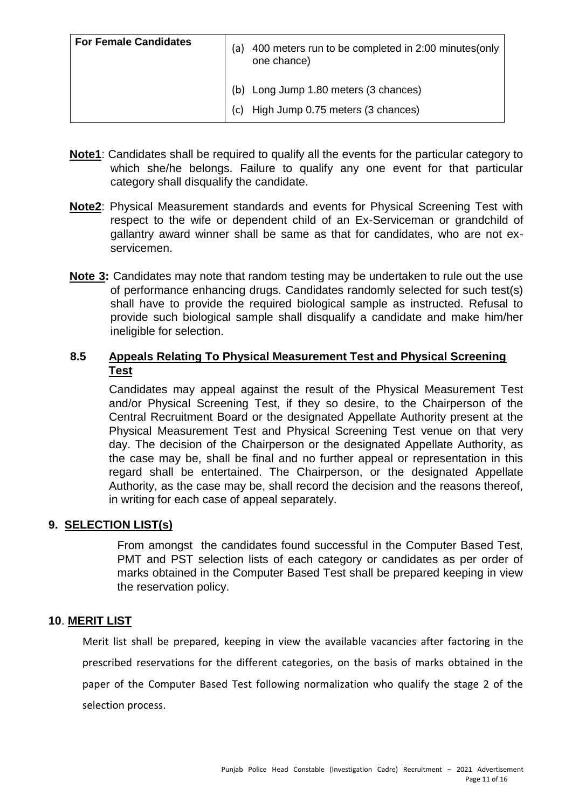| <b>For Female Candidates</b> | 400 meters run to be completed in 2:00 minutes (only<br>a)<br>one chance) |
|------------------------------|---------------------------------------------------------------------------|
|                              | Long Jump 1.80 meters (3 chances)<br>(b)                                  |
|                              | High Jump 0.75 meters (3 chances)<br>(c)                                  |

- **Note1**: Candidates shall be required to qualify all the events for the particular category to which she/he belongs. Failure to qualify any one event for that particular category shall disqualify the candidate.
- **Note2**: Physical Measurement standards and events for Physical Screening Test with respect to the wife or dependent child of an Ex-Serviceman or grandchild of gallantry award winner shall be same as that for candidates, who are not exservicemen.
- **Note 3:** Candidates may note that random testing may be undertaken to rule out the use of performance enhancing drugs. Candidates randomly selected for such test(s) shall have to provide the required biological sample as instructed. Refusal to provide such biological sample shall disqualify a candidate and make him/her ineligible for selection.

## **8.5 Appeals Relating To Physical Measurement Test and Physical Screening Test**

Candidates may appeal against the result of the Physical Measurement Test and/or Physical Screening Test, if they so desire, to the Chairperson of the Central Recruitment Board or the designated Appellate Authority present at the Physical Measurement Test and Physical Screening Test venue on that very day. The decision of the Chairperson or the designated Appellate Authority, as the case may be, shall be final and no further appeal or representation in this regard shall be entertained. The Chairperson, or the designated Appellate Authority, as the case may be, shall record the decision and the reasons thereof, in writing for each case of appeal separately.

### **9. SELECTION LIST(s)**

From amongst the candidates found successful in the Computer Based Test, PMT and PST selection lists of each category or candidates as per order of marks obtained in the Computer Based Test shall be prepared keeping in view the reservation policy.

### **10**. **MERIT LIST**

Merit list shall be prepared, keeping in view the available vacancies after factoring in the prescribed reservations for the different categories, on the basis of marks obtained in the paper of the Computer Based Test following normalization who qualify the stage 2 of the selection process.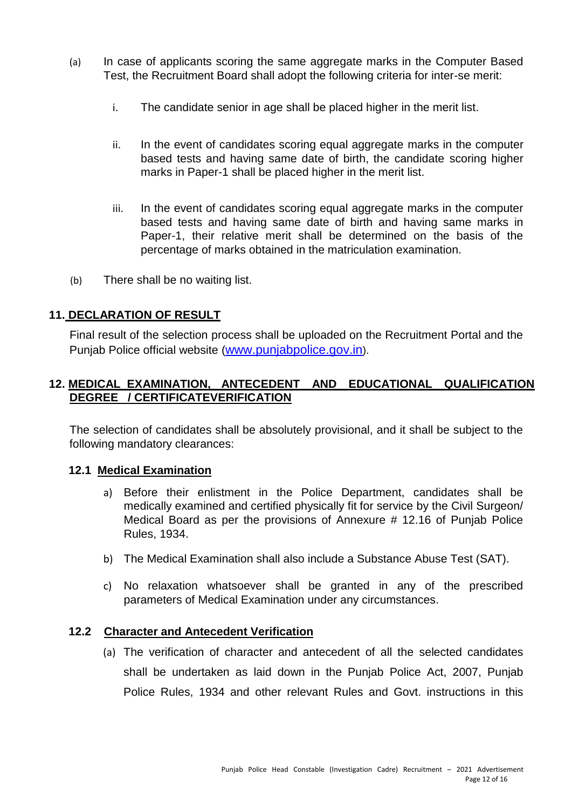- (a) In case of applicants scoring the same aggregate marks in the Computer Based Test, the Recruitment Board shall adopt the following criteria for inter-se merit:
	- i. The candidate senior in age shall be placed higher in the merit list.
	- ii. In the event of candidates scoring equal aggregate marks in the computer based tests and having same date of birth, the candidate scoring higher marks in Paper-1 shall be placed higher in the merit list.
	- iii. In the event of candidates scoring equal aggregate marks in the computer based tests and having same date of birth and having same marks in Paper-1, their relative merit shall be determined on the basis of the percentage of marks obtained in the matriculation examination.
- (b) There shall be no waiting list.

## **11. DECLARATION OF RESULT**

Final result of the selection process shall be uploaded on the Recruitment Portal and the Punjab Police official website [\(](http://www.punjabpolice.gov.in/)[www.punjabpolice.gov.in](http://www.punjabpolice.gov.in/)[\).](http://www.punjabpolice.gov.in/)

## **12. MEDICAL EXAMINATION, ANTECEDENT AND EDUCATIONAL QUALIFICATION DEGREE / CERTIFICATEVERIFICATION**

The selection of candidates shall be absolutely provisional, and it shall be subject to the following mandatory clearances:

### **12.1 Medical Examination**

- a) Before their enlistment in the Police Department, candidates shall be medically examined and certified physically fit for service by the Civil Surgeon/ Medical Board as per the provisions of Annexure # 12.16 of Punjab Police Rules, 1934.
- b) The Medical Examination shall also include a Substance Abuse Test (SAT).
- c) No relaxation whatsoever shall be granted in any of the prescribed parameters of Medical Examination under any circumstances.

### **12.2 Character and Antecedent Verification**

(a) The verification of character and antecedent of all the selected candidates shall be undertaken as laid down in the Punjab Police Act, 2007, Punjab Police Rules, 1934 and other relevant Rules and Govt. instructions in this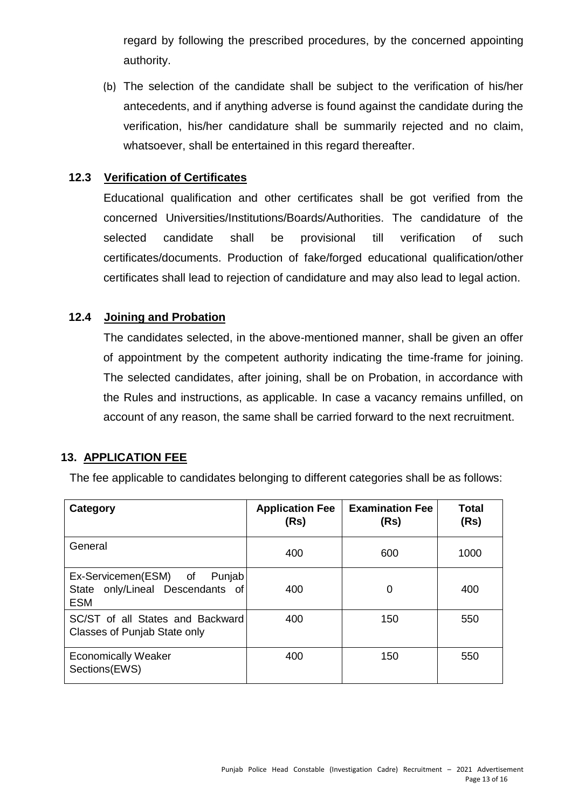regard by following the prescribed procedures, by the concerned appointing authority.

(b) The selection of the candidate shall be subject to the verification of his/her antecedents, and if anything adverse is found against the candidate during the verification, his/her candidature shall be summarily rejected and no claim, whatsoever, shall be entertained in this regard thereafter.

## **12.3 Verification of Certificates**

Educational qualification and other certificates shall be got verified from the concerned Universities/Institutions/Boards/Authorities. The candidature of the selected candidate shall be provisional till verification of such certificates/documents. Production of fake/forged educational qualification/other certificates shall lead to rejection of candidature and may also lead to legal action.

### **12.4 Joining and Probation**

The candidates selected, in the above-mentioned manner, shall be given an offer of appointment by the competent authority indicating the time-frame for joining. The selected candidates, after joining, shall be on Probation, in accordance with the Rules and instructions, as applicable. In case a vacancy remains unfilled, on account of any reason, the same shall be carried forward to the next recruitment.

### **13. APPLICATION FEE**

The fee applicable to candidates belonging to different categories shall be as follows:

| Category                                                                          | <b>Application Fee</b><br>(Rs) | <b>Examination Fee</b><br>(Rs) | Total<br>(Rs) |
|-----------------------------------------------------------------------------------|--------------------------------|--------------------------------|---------------|
| General                                                                           | 400                            | 600                            | 1000          |
| Punjab<br>Ex-Servicemen(ESM) of<br>State only/Lineal Descendants of<br><b>ESM</b> | 400                            | 0                              | 400           |
| SC/ST of all States and Backward<br>Classes of Punjab State only                  | 400                            | 150                            | 550           |
| <b>Economically Weaker</b><br>Sections(EWS)                                       | 400                            | 150                            | 550           |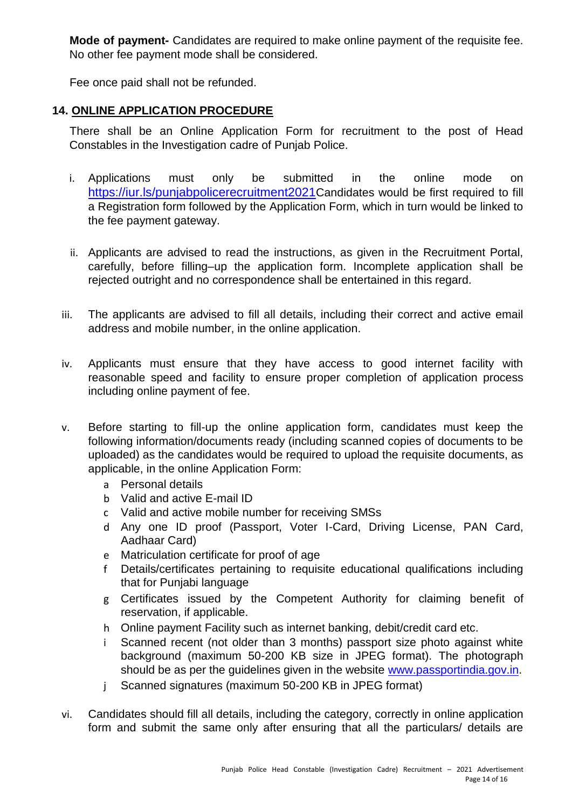**Mode of payment-** Candidates are required to make online payment of the requisite fee. No other fee payment mode shall be considered.

Fee once paid shall not be refunded.

## **14. ONLINE APPLICATION PROCEDURE**

There shall be an Online Application Form for recruitment to the post of Head Constables in the Investigation cadre of Punjab Police.

- i. Applications must only be submitted in the online mode on <https://iur.ls/punjabpolicerecruitment2021>[C](https://iur.ls/punjabpolicerecruitment2021)andidates would be first required to fill a Registration form followed by the Application Form, which in turn would be linked to the fee payment gateway.
- ii. Applicants are advised to read the instructions, as given in the Recruitment Portal, carefully, before filling–up the application form. Incomplete application shall be rejected outright and no correspondence shall be entertained in this regard.
- iii. The applicants are advised to fill all details, including their correct and active email address and mobile number, in the online application.
- iv. Applicants must ensure that they have access to good internet facility with reasonable speed and facility to ensure proper completion of application process including online payment of fee.
- v. Before starting to fill-up the online application form, candidates must keep the following information/documents ready (including scanned copies of documents to be uploaded) as the candidates would be required to upload the requisite documents, as applicable, in the online Application Form:
	- a Personal details
	- b Valid and active E-mail ID
	- c Valid and active mobile number for receiving SMSs
	- d Any one ID proof (Passport, Voter I-Card, Driving License, PAN Card, Aadhaar Card)
	- e Matriculation certificate for proof of age
	- f Details/certificates pertaining to requisite educational qualifications including that for Punjabi language
	- g Certificates issued by the Competent Authority for claiming benefit of reservation, if applicable.
	- h Online payment Facility such as internet banking, debit/credit card etc.
	- i Scanned recent (not older than 3 months) passport size photo against white background (maximum 50-200 KB size in JPEG format). The photograph should be as per the quidelines given in the website [www.passportindia.gov.in.](http://www.passportindia.gov.in/)
	- j Scanned signatures (maximum 50-200 KB in JPEG format)
- vi. Candidates should fill all details, including the category, correctly in online application form and submit the same only after ensuring that all the particulars/ details are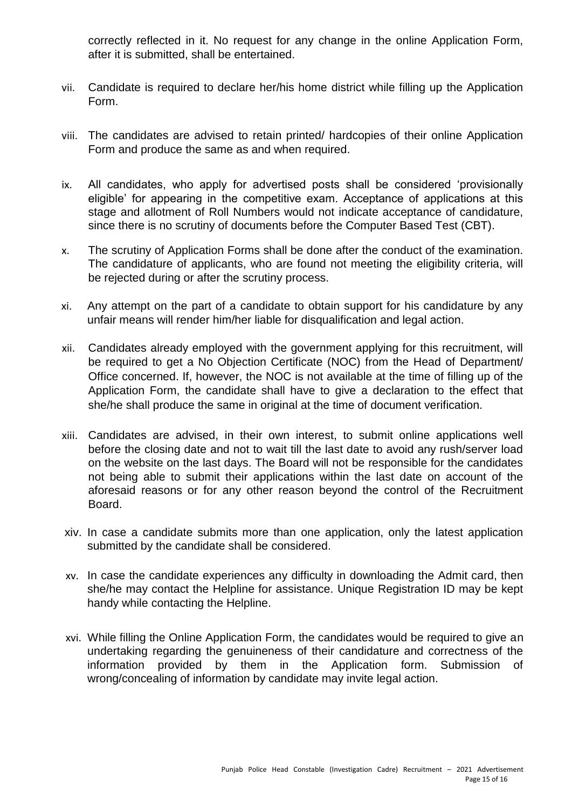correctly reflected in it. No request for any change in the online Application Form, after it is submitted, shall be entertained.

- vii. Candidate is required to declare her/his home district while filling up the Application Form.
- viii. The candidates are advised to retain printed/ hardcopies of their online Application Form and produce the same as and when required.
- ix. All candidates, who apply for advertised posts shall be considered 'provisionally eligible' for appearing in the competitive exam. Acceptance of applications at this stage and allotment of Roll Numbers would not indicate acceptance of candidature, since there is no scrutiny of documents before the Computer Based Test (CBT).
- x. The scrutiny of Application Forms shall be done after the conduct of the examination. The candidature of applicants, who are found not meeting the eligibility criteria, will be rejected during or after the scrutiny process.
- xi. Any attempt on the part of a candidate to obtain support for his candidature by any unfair means will render him/her liable for disqualification and legal action.
- xii. Candidates already employed with the government applying for this recruitment, will be required to get a No Objection Certificate (NOC) from the Head of Department/ Office concerned. If, however, the NOC is not available at the time of filling up of the Application Form, the candidate shall have to give a declaration to the effect that she/he shall produce the same in original at the time of document verification.
- xiii. Candidates are advised, in their own interest, to submit online applications well before the closing date and not to wait till the last date to avoid any rush/server load on the website on the last days. The Board will not be responsible for the candidates not being able to submit their applications within the last date on account of the aforesaid reasons or for any other reason beyond the control of the Recruitment Board.
- xiv. In case a candidate submits more than one application, only the latest application submitted by the candidate shall be considered.
- xv. In case the candidate experiences any difficulty in downloading the Admit card, then she/he may contact the Helpline for assistance. Unique Registration ID may be kept handy while contacting the Helpline.
- xvi. While filling the Online Application Form, the candidates would be required to give an undertaking regarding the genuineness of their candidature and correctness of the information provided by them in the Application form. Submission of wrong/concealing of information by candidate may invite legal action.